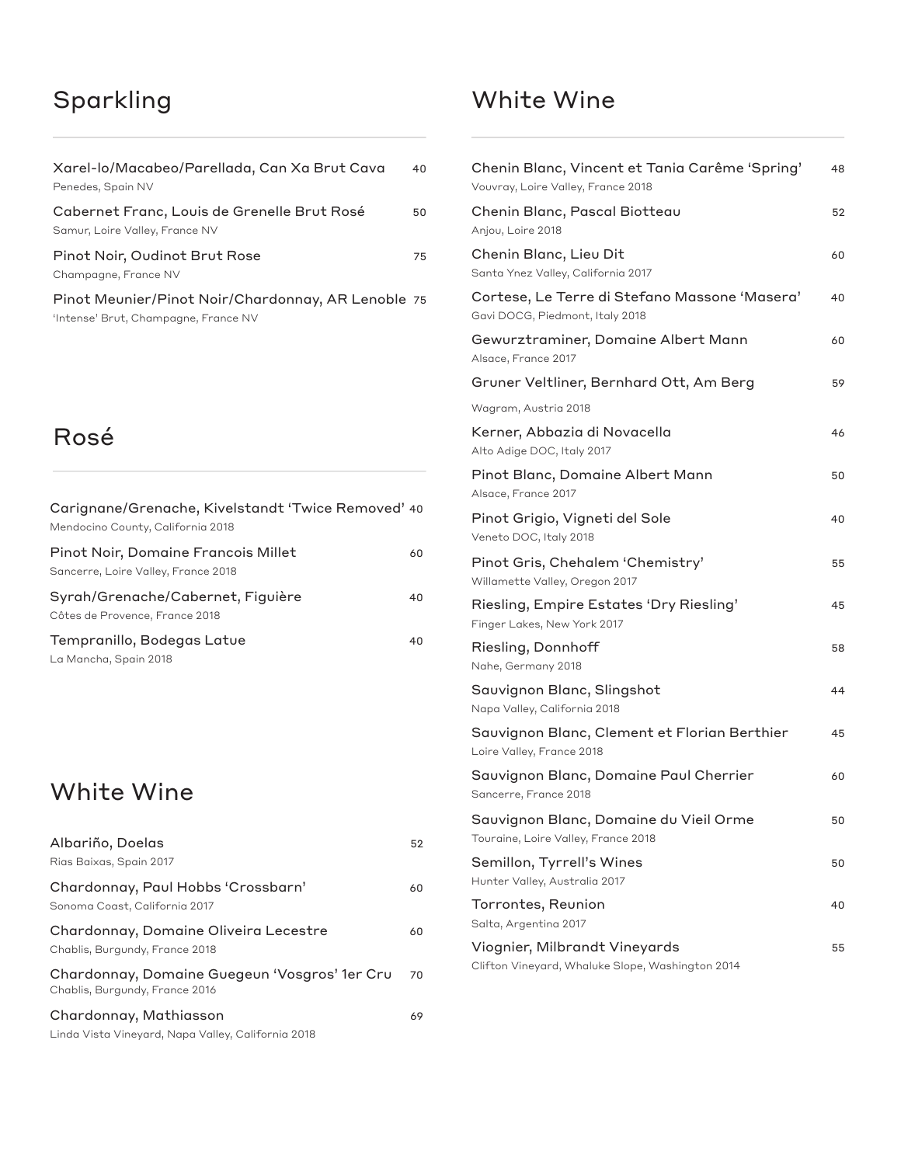## Sparkling

| Xarel-lo/Macabeo/Parellada, Can Xa Brut Cava<br>Penedes, Spain NV                          | 40 |
|--------------------------------------------------------------------------------------------|----|
| Cabernet Franc, Louis de Grenelle Brut Rosé<br>Samur, Loire Valley, France NV              | 50 |
| Pinot Noir, Oudinot Brut Rose<br>Champagne, France NV                                      | 75 |
| Pinot Meunier/Pinot Noir/Chardonnay, AR Lenoble 75<br>'Intense' Brut, Champagne, France NV |    |

#### Rosé

| Carignane/Grenache, Kivelstandt 'Twice Removed' 40<br>Mendocino County, California 2018 |     |
|-----------------------------------------------------------------------------------------|-----|
| Pinot Noir, Domaine Francois Millet<br>Sancerre, Loire Valley, France 2018              | 60. |
| Syrah/Grenache/Cabernet, Figuière<br>Côtes de Provence, France 2018                     | 40  |
| Tempranillo, Bodegas Latue<br>La Mancha, Spain 2018                                     | 40  |
|                                                                                         |     |

#### White Wine

| Albariño, Doelas<br>Rias Baixas, Spain 2017                                     | 52 |
|---------------------------------------------------------------------------------|----|
| Chardonnay, Paul Hobbs 'Crossbarn'<br>Sonoma Coast, California 2017             | 60 |
| Chardonnay, Domaine Oliveira Lecestre<br>Chablis, Burgundy, France 2018         | 60 |
| Chardonnay, Domaine Guegeun 'Vosgros' 1er Cru<br>Chablis, Burgundy, France 2016 | 70 |
| Chardonnay, Mathiasson<br>Linda Vista Vineyard, Napa Valley, California 2018    | 69 |

### White Wine

| Chenin Blanc, Vincent et Tania Carême 'Spring'<br>Vouvray, Loire Valley, France 2018 | 48 |
|--------------------------------------------------------------------------------------|----|
| Chenin Blanc, Pascal Biotteau<br>Anjou, Loire 2018                                   | 52 |
| Chenin Blanc, Lieu Dit<br>Santa Ynez Valley, California 2017                         | 60 |
| Cortese, Le Terre di Stefano Massone 'Masera'<br>Gavi DOCG, Piedmont, Italy 2018     | 40 |
| Gewurztraminer, Domaine Albert Mann<br>Alsace, France 2017                           | 60 |
| Gruner Veltliner, Bernhard Ott, Am Berg                                              | 59 |
| Wagram, Austria 2018                                                                 |    |
| Kerner, Abbazia di Novacella<br>Alto Adige DOC, Italy 2017                           | 46 |
| Pinot Blanc, Domaine Albert Mann<br>Alsace, France 2017                              | 50 |
| Pinot Grigio, Vigneti del Sole<br>Veneto DOC, Italy 2018                             | 40 |
| Pinot Gris, Chehalem 'Chemistry'<br>Willamette Valley, Oregon 2017                   | 55 |
| Riesling, Empire Estates 'Dry Riesling'<br>Finger Lakes, New York 2017               | 45 |
| Riesling, Donnhoff<br>Nahe, Germany 2018                                             | 58 |
| Sauvignon Blanc, Slingshot<br>Napa Valley, California 2018                           | 44 |
| Sauvignon Blanc, Clement et Florian Berthier<br>Loire Valley, France 2018            | 45 |
| Sauvignon Blanc, Domaine Paul Cherrier<br>Sancerre, France 2018                      | 60 |
| Sauvignon Blanc, Domaine du Vieil Orme<br>Touraine, Loire Valley, France 2018        | 50 |
| Semillon, Tyrrell's Wines<br>Hunter Valley, Australia 2017                           | 50 |
| Torrontes, Reunion<br>Salta, Argentina 2017                                          | 40 |
| Viognier, Milbrandt Vineyards                                                        | 55 |

Clifton Vineyard, Whaluke Slope, Washington 2014